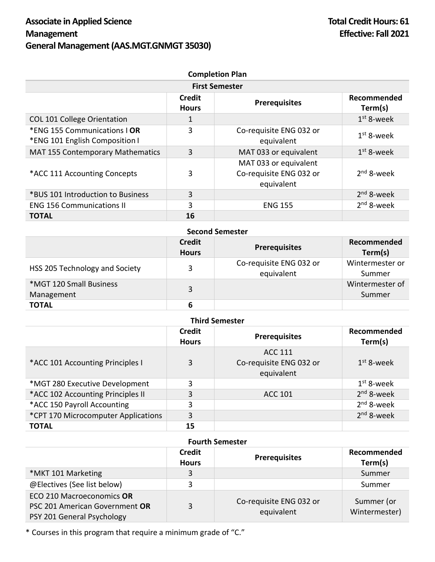| <b>Completion Plan</b><br><b>First Semester</b>                |    |                                                                |              |
|----------------------------------------------------------------|----|----------------------------------------------------------------|--------------|
|                                                                |    |                                                                |              |
| <b>COL 101 College Orientation</b>                             | 1  |                                                                | $1st$ 8-week |
| *ENG 155 Communications   OR<br>*ENG 101 English Composition I | 3  | Co-requisite ENG 032 or<br>equivalent                          | $1st$ 8-week |
| <b>MAT 155 Contemporary Mathematics</b>                        | 3  | MAT 033 or equivalent                                          | $1st$ 8-week |
| *ACC 111 Accounting Concepts                                   | 3  | MAT 033 or equivalent<br>Co-requisite ENG 032 or<br>equivalent | $2nd$ 8-week |
| *BUS 101 Introduction to Business                              | 3  |                                                                | $2nd$ 8-week |
| <b>ENG 156 Communications II</b>                               | 3  | <b>ENG 155</b>                                                 | $2nd$ 8-week |
| <b>TOTAL</b>                                                   | 16 |                                                                |              |

| <b>Second Semester</b>                |                               |                                       |                           |
|---------------------------------------|-------------------------------|---------------------------------------|---------------------------|
|                                       | <b>Credit</b><br><b>Hours</b> | <b>Prerequisites</b>                  | Recommended<br>Term(s)    |
| HSS 205 Technology and Society        | 3                             | Co-requisite ENG 032 or<br>equivalent | Wintermester or<br>Summer |
| *MGT 120 Small Business<br>Management | 3                             |                                       | Wintermester of<br>Summer |
| <b>TOTAL</b>                          | 6                             |                                       |                           |

| <b>Third Semester</b>               |                               |                                                         |                        |
|-------------------------------------|-------------------------------|---------------------------------------------------------|------------------------|
|                                     | <b>Credit</b><br><b>Hours</b> | <b>Prerequisites</b>                                    | Recommended<br>Term(s) |
| *ACC 101 Accounting Principles I    | 3                             | <b>ACC 111</b><br>Co-requisite ENG 032 or<br>equivalent | $1st$ 8-week           |
| *MGT 280 Executive Development      | 3                             |                                                         | $1st$ 8-week           |
| *ACC 102 Accounting Principles II   | 3                             | <b>ACC 101</b>                                          | $2nd$ 8-week           |
| *ACC 150 Payroll Accounting         | 3                             |                                                         | $2nd$ 8-week           |
| *CPT 170 Microcomputer Applications | 3                             |                                                         | $2nd$ 8-week           |
| <b>TOTAL</b>                        | 15                            |                                                         |                        |

## **Fourth Semester**

|                                                                                           | <b>Credit</b><br><b>Hours</b> | <b>Prerequisites</b>                  | Recommended<br>Term(s)      |
|-------------------------------------------------------------------------------------------|-------------------------------|---------------------------------------|-----------------------------|
| *MKT 101 Marketing                                                                        | 3                             |                                       | Summer                      |
| @Electives (See list below)                                                               |                               |                                       | Summer                      |
| ECO 210 Macroeconomics OR<br>PSC 201 American Government OR<br>PSY 201 General Psychology | 3                             | Co-requisite ENG 032 or<br>equivalent | Summer (or<br>Wintermester) |

\* Courses in this program that require a minimum grade of "C."